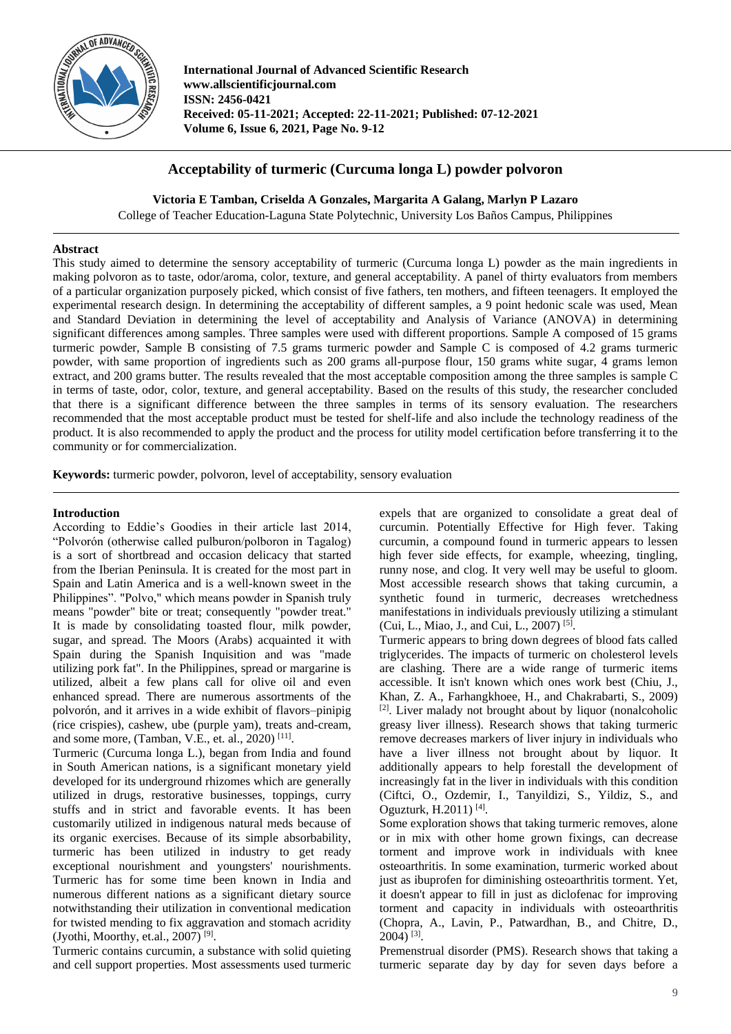

**International Journal of Advanced Scientific Research www.allscientificjournal.com ISSN: 2456-0421 Received: 05-11-2021; Accepted: 22-11-2021; Published: 07-12-2021 Volume 6, Issue 6, 2021, Page No. 9-12**

# **Acceptability of turmeric (Curcuma longa L) powder polvoron**

**Victoria E Tamban, Criselda A Gonzales, Margarita A Galang, Marlyn P Lazaro**

College of Teacher Education-Laguna State Polytechnic, University Los Baños Campus, Philippines

# **Abstract**

This study aimed to determine the sensory acceptability of turmeric (Curcuma longa L) powder as the main ingredients in making polvoron as to taste, odor/aroma, color, texture, and general acceptability. A panel of thirty evaluators from members of a particular organization purposely picked, which consist of five fathers, ten mothers, and fifteen teenagers. It employed the experimental research design. In determining the acceptability of different samples, a 9 point hedonic scale was used, Mean and Standard Deviation in determining the level of acceptability and Analysis of Variance (ANOVA) in determining significant differences among samples. Three samples were used with different proportions. Sample A composed of 15 grams turmeric powder, Sample B consisting of 7.5 grams turmeric powder and Sample C is composed of 4.2 grams turmeric powder, with same proportion of ingredients such as 200 grams all-purpose flour, 150 grams white sugar, 4 grams lemon extract, and 200 grams butter. The results revealed that the most acceptable composition among the three samples is sample C in terms of taste, odor, color, texture, and general acceptability. Based on the results of this study, the researcher concluded that there is a significant difference between the three samples in terms of its sensory evaluation. The researchers recommended that the most acceptable product must be tested for shelf-life and also include the technology readiness of the product. It is also recommended to apply the product and the process for utility model certification before transferring it to the community or for commercialization.

**Keywords:** turmeric powder, polvoron, level of acceptability, sensory evaluation

# **Introduction**

According to Eddie's Goodies in their article last 2014, "Polvorón (otherwise called pulburon/polboron in Tagalog) is a sort of shortbread and occasion delicacy that started from the Iberian Peninsula. It is created for the most part in Spain and Latin America and is a well-known sweet in the Philippines". "Polvo," which means powder in Spanish truly means "powder" bite or treat; consequently "powder treat." It is made by consolidating toasted flour, milk powder, sugar, and spread. The Moors (Arabs) acquainted it with Spain during the Spanish Inquisition and was "made utilizing pork fat". In the Philippines, spread or margarine is utilized, albeit a few plans call for olive oil and even enhanced spread. There are numerous assortments of the polvorón, and it arrives in a wide exhibit of flavors–pinipig (rice crispies), cashew, ube (purple yam), treats and-cream, and some more, (Tamban, V.E., et. al., 2020)<sup>[11]</sup>.

Turmeric (Curcuma longa L.), began from India and found in South American nations, is a significant monetary yield developed for its underground rhizomes which are generally utilized in drugs, restorative businesses, toppings, curry stuffs and in strict and favorable events. It has been customarily utilized in indigenous natural meds because of its organic exercises. Because of its simple absorbability, turmeric has been utilized in industry to get ready exceptional nourishment and youngsters' nourishments. Turmeric has for some time been known in India and numerous different nations as a significant dietary source notwithstanding their utilization in conventional medication for twisted mending to fix aggravation and stomach acridity (Jyothi, Moorthy, et.al., 2007)<sup>[9]</sup>.

Turmeric contains curcumin, a substance with solid quieting and cell support properties. Most assessments used turmeric expels that are organized to consolidate a great deal of curcumin. Potentially Effective for High fever. Taking curcumin, a compound found in turmeric appears to lessen high fever side effects, for example, wheezing, tingling, runny nose, and clog. It very well may be useful to gloom. Most accessible research shows that taking curcumin, a synthetic found in turmeric, decreases wretchedness manifestations in individuals previously utilizing a stimulant (Cui, L., Miao, J., and Cui, L., 2007) [5] .

Turmeric appears to bring down degrees of blood fats called triglycerides. The impacts of turmeric on cholesterol levels are clashing. There are a wide range of turmeric items accessible. It isn't known which ones work best (Chiu, J., Khan, Z. A., Farhangkhoee, H., and Chakrabarti, S., 2009) [2]. Liver malady not brought about by liquor (nonalcoholic greasy liver illness). Research shows that taking turmeric remove decreases markers of liver injury in individuals who have a liver illness not brought about by liquor. It additionally appears to help forestall the development of increasingly fat in the liver in individuals with this condition (Ciftci, O., Ozdemir, I., Tanyildizi, S., Yildiz, S., and Oguzturk, H.2011) [4] .

Some exploration shows that taking turmeric removes, alone or in mix with other home grown fixings, can decrease torment and improve work in individuals with knee osteoarthritis. In some examination, turmeric worked about just as ibuprofen for diminishing osteoarthritis torment. Yet, it doesn't appear to fill in just as diclofenac for improving torment and capacity in individuals with osteoarthritis (Chopra, A., Lavin, P., Patwardhan, B., and Chitre, D., 2004) [3] .

Premenstrual disorder (PMS). Research shows that taking a turmeric separate day by day for seven days before a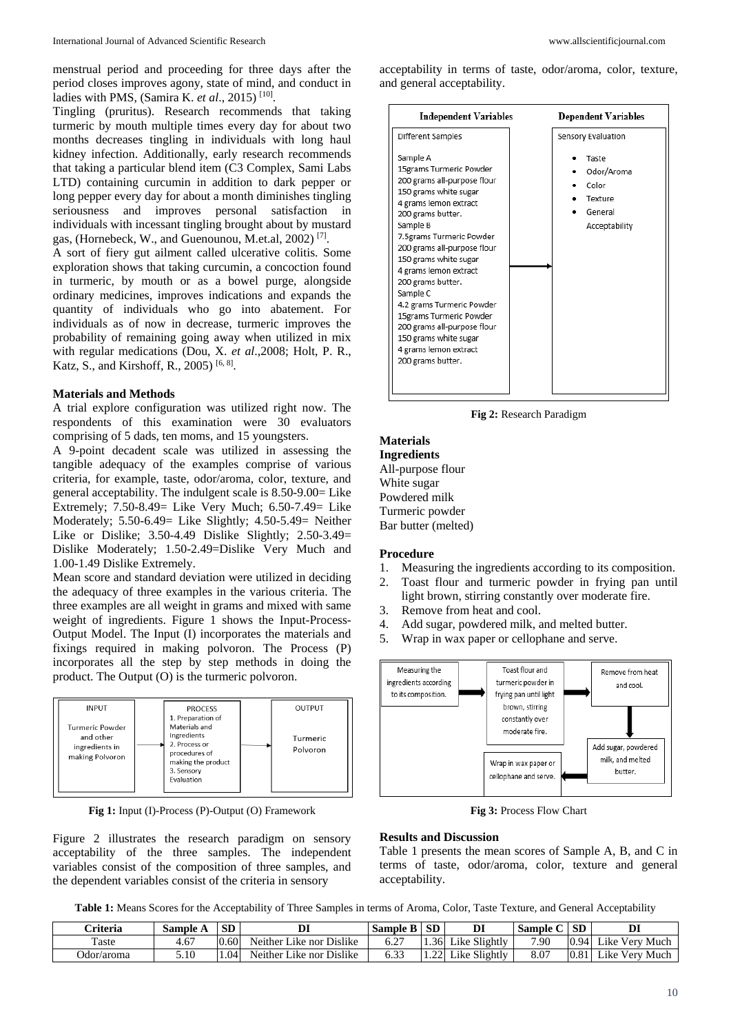menstrual period and proceeding for three days after the period closes improves agony, state of mind, and conduct in ladies with PMS, (Samira K. *et al*., 2015) [10] .

Tingling (pruritus). Research recommends that taking turmeric by mouth multiple times every day for about two months decreases tingling in individuals with long haul kidney infection. Additionally, early research recommends that taking a particular blend item (C3 Complex, Sami Labs LTD) containing curcumin in addition to dark pepper or long pepper every day for about a month diminishes tingling seriousness and improves personal satisfaction in individuals with incessant tingling brought about by mustard gas, (Hornebeck, W., and Guenounou, M.et.al, 2002)<sup>[7]</sup>.

A sort of fiery gut ailment called ulcerative colitis. Some exploration shows that taking curcumin, a concoction found in turmeric, by mouth or as a bowel purge, alongside ordinary medicines, improves indications and expands the quantity of individuals who go into abatement. For individuals as of now in decrease, turmeric improves the probability of remaining going away when utilized in mix with regular medications (Dou, X. *et al*.,2008; Holt, P. R., Katz, S., and Kirshoff, R., 2005)<sup>[6, 8]</sup>.

## **Materials and Methods**

A trial explore configuration was utilized right now. The respondents of this examination were 30 evaluators comprising of 5 dads, ten moms, and 15 youngsters.

A 9-point decadent scale was utilized in assessing the tangible adequacy of the examples comprise of various criteria, for example, taste, odor/aroma, color, texture, and general acceptability. The indulgent scale is 8.50-9.00= Like Extremely; 7.50-8.49= Like Very Much; 6.50-7.49= Like Moderately; 5.50-6.49= Like Slightly; 4.50-5.49= Neither Like or Dislike; 3.50-4.49 Dislike Slightly; 2.50-3.49= Dislike Moderately; 1.50-2.49=Dislike Very Much and 1.00-1.49 Dislike Extremely.

Mean score and standard deviation were utilized in deciding the adequacy of three examples in the various criteria. The three examples are all weight in grams and mixed with same weight of ingredients. Figure 1 shows the Input-Process-Output Model. The Input (I) incorporates the materials and fixings required in making polvoron. The Process (P) incorporates all the step by step methods in doing the product. The Output (O) is the turmeric polvoron.



**Fig 1:** Input (I)-Process (P)-Output (O) Framework

Figure 2 illustrates the research paradigm on sensory acceptability of the three samples. The independent variables consist of the composition of three samples, and the dependent variables consist of the criteria in sensory

acceptability in terms of taste, odor/aroma, color, texture, and general acceptability.

| <b>Independent Variables</b>                                                                                                                                                                                                                                                                                                                          | <b>Dependent Variables</b>                                                                |
|-------------------------------------------------------------------------------------------------------------------------------------------------------------------------------------------------------------------------------------------------------------------------------------------------------------------------------------------------------|-------------------------------------------------------------------------------------------|
| Different Samples<br>Sample A<br>15grams Turmeric Powder<br>200 grams all-purpose flour<br>150 grams white sugar<br>4 grams lemon extract<br>200 grams butter.<br>Sample B<br>7.5grams Turmeric Powder<br>200 grams all-purpose flour<br>150 grams white sugar<br>4 grams lemon extract<br>200 grams butter.<br>Sample C<br>4.2 grams Turmeric Powder | Sensory Evaluation<br>Taste<br>Odor/Aroma<br>Color<br>Texture<br>General<br>Acceptability |
| 15grams Turmeric Powder<br>200 grams all-purpose flour<br>150 grams white sugar<br>4 grams lemon extract<br>200 grams butter.                                                                                                                                                                                                                         |                                                                                           |

**Fig 2:** Research Paradigm

# **Materials**

**Ingredients** All-purpose flour White sugar Powdered milk Turmeric powder Bar butter (melted)

#### **Procedure**

- 1. Measuring the ingredients according to its composition.
- 2. Toast flour and turmeric powder in frying pan until light brown, stirring constantly over moderate fire.
- 3. Remove from heat and cool.
- 4. Add sugar, powdered milk, and melted butter.
- 5. Wrap in wax paper or cellophane and serve.



**Fig 3:** Process Flow Chart

### **Results and Discussion**

Table 1 presents the mean scores of Sample A, B, and C in terms of taste, odor/aroma, color, texture and general acceptability.

**Table 1:** Means Scores for the Acceptability of Three Samples in terms of Aroma, Color, Taste Texture, and General Acceptability

| <b>Triteria</b> | Sample A | <b>SD</b> | DI                             | $\mathbf{D}$<br>Sample B | <b>SD</b>          | DI            | Sample ( | <b>SD</b> | DТ<br>תע          |
|-----------------|----------|-----------|--------------------------------|--------------------------|--------------------|---------------|----------|-----------|-------------------|
| Taste           | 4.67     | 0.60      | Neither.<br>' Like nor Dislike | 6.27                     | $1.36 \text{ L}^3$ | Like Slightly | 7.90     | 0.94      | Very Much<br>Lıke |
| Odor/aroma      | 5.10     | 0.04      | Neither Like nor Dislike       | 6.3?                     |                    | Like Slightly | 8.07     | 0.81      | Very Much<br>лkе  |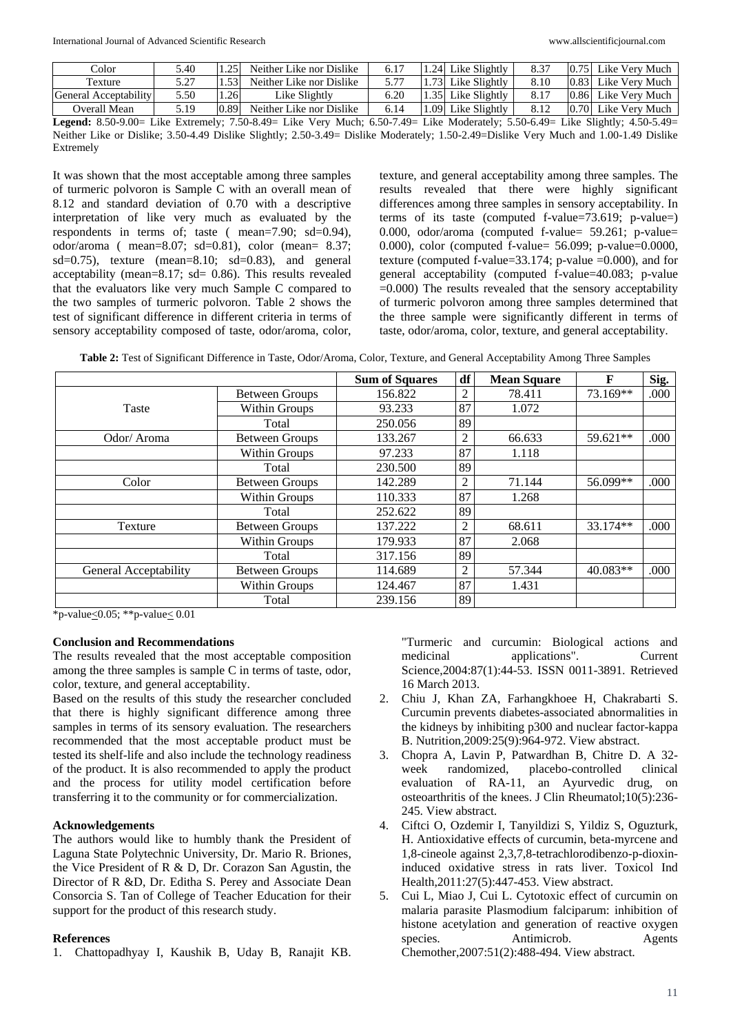| Color                 | 5.40 |      | Neither Like nor Dislike                                                                                    | $6.1^{\circ}$ |      | .24 Like Slightly  | 8.37 |      | Like Verv Much      |
|-----------------------|------|------|-------------------------------------------------------------------------------------------------------------|---------------|------|--------------------|------|------|---------------------|
| Texture               | 5.27 |      | Neither Like nor Dislike                                                                                    |               |      | .731 Like Slightly | 8.10 | 0.83 | Like Verv Much      |
| General Acceptability | 5.50 | .26  | Like Slightly                                                                                               |               | 35 I | Like Slightlv      | 8.17 | 0.86 | Like Verv Much      |
| Overall Mean          | 5.19 | 0.89 | Neither Like nor Dislike                                                                                    | 6.14          | .09  | Like Slightly      | 8.12 |      | 0.70 Like Very Much |
|                       |      |      | Tike Extremely: 7.50.8.40– Like Very Much: 6.50.7.40– Like Moderately: 5.50.6.40– Like Slightly: 4.50.5.40– |               |      |                    |      |      |                     |

**Legend:** 8.50-9.00= Like Extremely; 7.50-8.49= Like Very Much; 6.50-7.49= Like Moderately; 5.50-6.49= Like Slightly; 4.50-5.49= Neither Like or Dislike; 3.50-4.49 Dislike Slightly; 2.50-3.49= Dislike Moderately; 1.50-2.49=Dislike Very Much and 1.00-1.49 Dislike Extremely

It was shown that the most acceptable among three samples of turmeric polvoron is Sample C with an overall mean of 8.12 and standard deviation of 0.70 with a descriptive interpretation of like very much as evaluated by the respondents in terms of; taste ( mean=7.90; sd=0.94), odor/aroma ( mean=8.07; sd=0.81), color (mean= 8.37; sd=0.75), texture (mean=8.10; sd=0.83), and general acceptability (mean=8.17; sd= 0.86). This results revealed that the evaluators like very much Sample C compared to the two samples of turmeric polvoron. Table 2 shows the test of significant difference in different criteria in terms of sensory acceptability composed of taste, odor/aroma, color,

texture, and general acceptability among three samples. The results revealed that there were highly significant differences among three samples in sensory acceptability. In terms of its taste (computed f-value=73.619; p-value=) 0.000, odor/aroma (computed f-value= 59.261; p-value= 0.000), color (computed f-value= 56.099; p-value=0.0000, texture (computed f-value=33.174; p-value =0.000), and for general acceptability (computed f-value=40.083; p-value =0.000) The results revealed that the sensory acceptability of turmeric polvoron among three samples determined that the three sample were significantly different in terms of taste, odor/aroma, color, texture, and general acceptability.

**Table 2:** Test of Significant Difference in Taste, Odor/Aroma, Color, Texture, and General Acceptability Among Three Samples

|                       |                       | <b>Sum of Squares</b> | df             | <b>Mean Square</b> | F        | Sig. |
|-----------------------|-----------------------|-----------------------|----------------|--------------------|----------|------|
|                       | <b>Between Groups</b> | 156.822               | $\overline{2}$ | 78.411             | 73.169** | .000 |
| <b>Taste</b>          | Within Groups         | 93.233                | 87             | 1.072              |          |      |
|                       | Total                 | 250.056               | 89             |                    |          |      |
| Odor/Aroma            | <b>Between Groups</b> | 133.267               | $\overline{c}$ | 66.633             | 59.621** | .000 |
|                       | Within Groups         | 97.233                | 87             | 1.118              |          |      |
|                       | Total                 | 230.500               | 89             |                    |          |      |
| Color                 | <b>Between Groups</b> | 142.289               | 2              | 71.144             | 56.099** | .000 |
|                       | Within Groups         | 110.333               | 87             | 1.268              |          |      |
|                       | Total                 | 252.622               | 89             |                    |          |      |
| Texture               | <b>Between Groups</b> | 137.222               | 2              | 68.611             | 33.174** | .000 |
|                       | Within Groups         | 179.933               | 87             | 2.068              |          |      |
|                       | Total                 | 317.156               | 89             |                    |          |      |
| General Acceptability | <b>Between Groups</b> | 114.689               | $\overline{2}$ | 57.344             | 40.083** | .000 |
|                       | Within Groups         | 124.467               | 87             | 1.431              |          |      |
|                       | Total                 | 239.156               | 89             |                    |          |      |

 $*_{p-value\leq 0.05;}$  \*\*p-value $\leq 0.01$ 

## **Conclusion and Recommendations**

The results revealed that the most acceptable composition among the three samples is sample C in terms of taste, odor, color, texture, and general acceptability.

Based on the results of this study the researcher concluded that there is highly significant difference among three samples in terms of its sensory evaluation. The researchers recommended that the most acceptable product must be tested its shelf-life and also include the technology readiness of the product. It is also recommended to apply the product and the process for utility model certification before transferring it to the community or for commercialization.

## **Acknowledgements**

The authors would like to humbly thank the President of Laguna State Polytechnic University, Dr. Mario R. Briones, the Vice President of R & D, Dr. Corazon San Agustin, the Director of R &D, Dr. Editha S. Perey and Associate Dean Consorcia S. Tan of College of Teacher Education for their support for the product of this research study.

## **References**

1. Chattopadhyay I, Kaushik B, Uday B, Ranajit KB.

"Turmeric and curcumin: Biological actions and medicinal applications". Current Science,2004:87(1):44-53. ISSN 0011-3891. Retrieved 16 March 2013.

- 2. Chiu J, Khan ZA, Farhangkhoee H, Chakrabarti S. Curcumin prevents diabetes-associated abnormalities in the kidneys by inhibiting p300 and nuclear factor-kappa B. Nutrition,2009:25(9):964-972. View abstract.
- 3. Chopra A, Lavin P, Patwardhan B, Chitre D. A 32 week randomized, placebo-controlled clinical evaluation of RA-11, an Ayurvedic drug, on osteoarthritis of the knees. J Clin Rheumatol;10(5):236- 245. View abstract.
- 4. Ciftci O, Ozdemir I, Tanyildizi S, Yildiz S, Oguzturk, H. Antioxidative effects of curcumin, beta-myrcene and 1,8-cineole against 2,3,7,8-tetrachlorodibenzo-p-dioxininduced oxidative stress in rats liver. Toxicol Ind Health,2011:27(5):447-453. View abstract.
- 5. Cui L, Miao J, Cui L. Cytotoxic effect of curcumin on malaria parasite Plasmodium falciparum: inhibition of histone acetylation and generation of reactive oxygen species. Antimicrob. Agents Chemother,2007:51(2):488-494. View abstract.